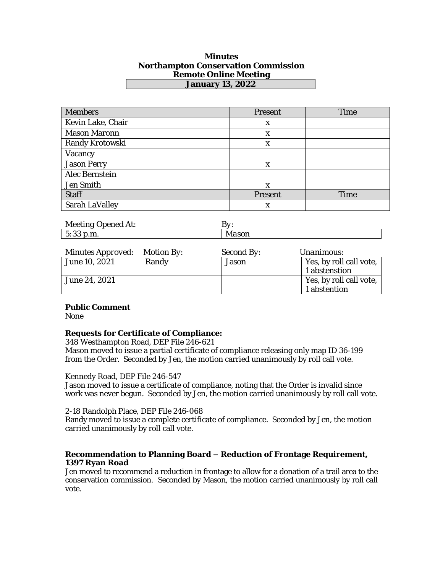## **Minutes Northampton Conservation Commission Remote Online Meeting January 13, 2022**

| <b>Members</b>      | Present | Time        |
|---------------------|---------|-------------|
| Kevin Lake, Chair   | X       |             |
| <b>Mason Maronn</b> | X       |             |
| Randy Krotowski     | X       |             |
| Vacancy             |         |             |
| <b>Jason Perry</b>  | X       |             |
| Alec Bernstein      |         |             |
| Jen Smith           | X       |             |
| Staff               | Present | <b>Time</b> |
| Sarah LaValley      | x       |             |

| Meeting I         | . <b>. .</b> |
|-------------------|--------------|
| <i>Jpened At:</i> | ∼            |
| $\Omega$          | ΙVΙ          |
| 5:33 p.m.         | idSUII       |

| Minutes Approved: Motion By: |       | Second By: | <i>Unanimous:</i>       |
|------------------------------|-------|------------|-------------------------|
| June 10, 2021                | Randy | Jason      | Yes, by roll call vote, |
|                              |       |            | 1 abstenstion           |
| June 24, 2021                |       |            | Yes, by roll call vote, |
|                              |       |            | 1 abstention            |

### **Public Comment**

None

# **Requests for Certificate of Compliance:**

348 Westhampton Road, DEP File 246-621 Mason moved to issue a partial certificate of compliance releasing only map ID 36-199 from the Order. Seconded by Jen, the motion carried unanimously by roll call vote.

### Kennedy Road, DEP File 246-547

Jason moved to issue a certificate of compliance, noting that the Order is invalid since work was never begun. Seconded by Jen, the motion carried unanimously by roll call vote.

2-18 Randolph Place, DEP File 246-068

Randy moved to issue a complete certificate of compliance. Seconded by Jen, the motion carried unanimously by roll call vote.

## **Recommendation to Planning Board – Reduction of Frontage Requirement, 1397 Ryan Road**

Jen moved to recommend a reduction in frontage to allow for a donation of a trail area to the conservation commission. Seconded by Mason, the motion carried unanimously by roll call vote.